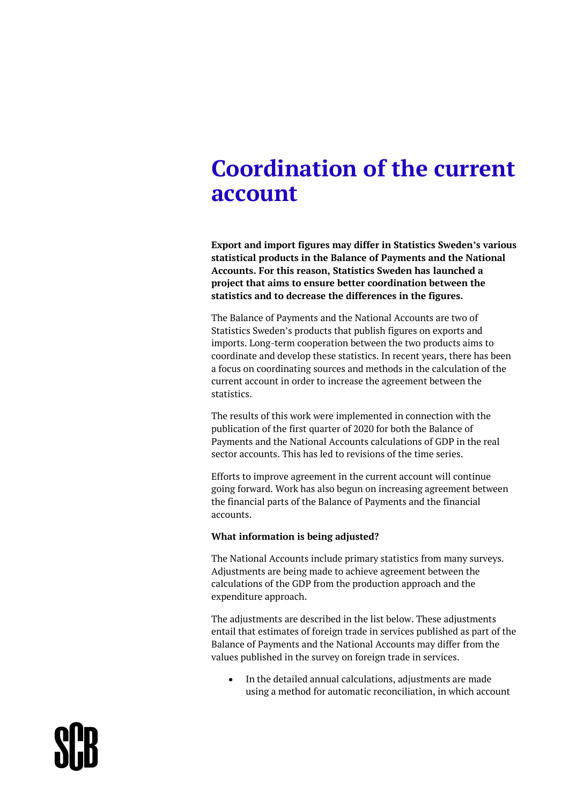## **Coordination of the current account**

**Export and import figures may differ in Statistics Sweden's various statistical products in the Balance of Payments and the National Accounts. For this reason, Statistics Sweden has launched a project that aims to ensure better coordination between the statistics and to decrease the differences in the figures.**

The Balance of Payments and the National Accounts are two of Statistics Sweden's products that publish figures on exports and imports. Long-term cooperation between the two products aims to coordinate and develop these statistics. In recent years, there has been a focus on coordinating sources and methods in the calculation of the current account in order to increase the agreement between the statistics.

The results of this work were implemented in connection with the publication of the first quarter of 2020 for both the Balance of Payments and the National Accounts calculations of GDP in the real sector accounts. This has led to revisions of the time series.

Efforts to improve agreement in the current account will continue going forward. Work has also begun on increasing agreement between the financial parts of the Balance of Payments and the financial accounts.

## **What information is being adjusted?**

The National Accounts include primary statistics from many surveys. Adjustments are being made to achieve agreement between the calculations of the GDP from the production approach and the expenditure approach.

The adjustments are described in the list below. These adjustments entail that estimates of foreign trade in services published as part of the Balance of Payments and the National Accounts may differ from the values published in the survey on foreign trade in services.

 In the detailed annual calculations, adjustments are made using a method for automatic reconciliation, in which account